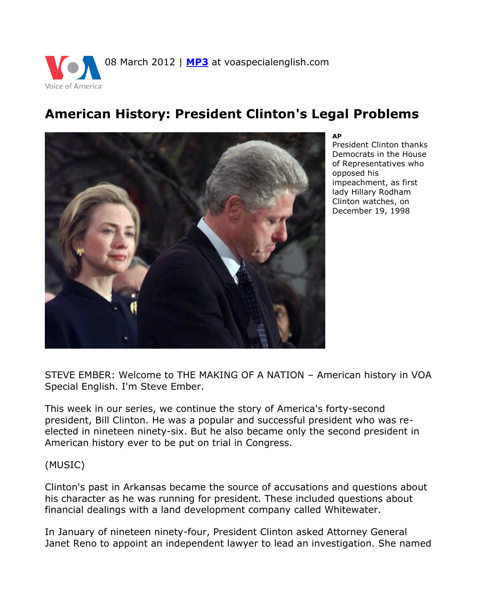

# **American History: President Clinton's Legal Problems**



**AP**

President Clinton thanks Democrats in the House of Representatives who opposed his impeachment, as first lady Hillary Rodham Clinton watches, on December 19, 1998

STEVE EMBER: Welcome to THE MAKING OF A NATION – American history in VOA Special English. I'm Steve Ember.

This week in our series, we continue the story of America's forty-second president, Bill Clinton. He was a popular and successful president who was reelected in nineteen ninety-six. But he also became only the second president in American history ever to be put on trial in Congress.

(MUSIC)

Clinton's past in Arkansas became the source of accusations and questions about his character as he was running for president. These included questions about financial dealings with a land development company called Whitewater.

In January of nineteen ninety-four, President Clinton asked Attorney General Janet Reno to appoint an independent lawyer to lead an investigation. She named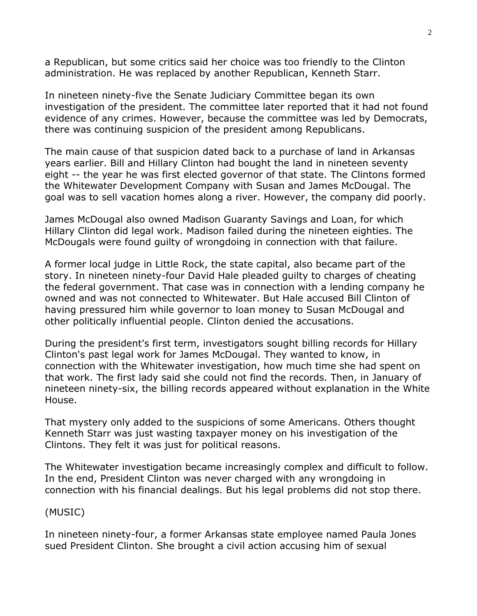a Republican, but some critics said her choice was too friendly to the Clinton administration. He was replaced by another Republican, Kenneth Starr.

In nineteen ninety-five the Senate Judiciary Committee began its own investigation of the president. The committee later reported that it had not found evidence of any crimes. However, because the committee was led by Democrats, there was continuing suspicion of the president among Republicans.

The main cause of that suspicion dated back to a purchase of land in Arkansas years earlier. Bill and Hillary Clinton had bought the land in nineteen seventy eight -- the year he was first elected governor of that state. The Clintons formed the Whitewater Development Company with Susan and James McDougal. The goal was to sell vacation homes along a river. However, the company did poorly.

James McDougal also owned Madison Guaranty Savings and Loan, for which Hillary Clinton did legal work. Madison failed during the nineteen eighties. The McDougals were found guilty of wrongdoing in connection with that failure.

A former local judge in Little Rock, the state capital, also became part of the story. In nineteen ninety-four David Hale pleaded guilty to charges of cheating the federal government. That case was in connection with a lending company he owned and was not connected to Whitewater. But Hale accused Bill Clinton of having pressured him while governor to loan money to Susan McDougal and other politically influential people. Clinton denied the accusations.

During the president's first term, investigators sought billing records for Hillary Clinton's past legal work for James McDougal. They wanted to know, in connection with the Whitewater investigation, how much time she had spent on that work. The first lady said she could not find the records. Then, in January of nineteen ninety-six, the billing records appeared without explanation in the White House.

That mystery only added to the suspicions of some Americans. Others thought Kenneth Starr was just wasting taxpayer money on his investigation of the Clintons. They felt it was just for political reasons.

The Whitewater investigation became increasingly complex and difficult to follow. In the end, President Clinton was never charged with any wrongdoing in connection with his financial dealings. But his legal problems did not stop there.

### (MUSIC)

In nineteen ninety-four, a former Arkansas state employee named Paula Jones sued President Clinton. She brought a civil action accusing him of sexual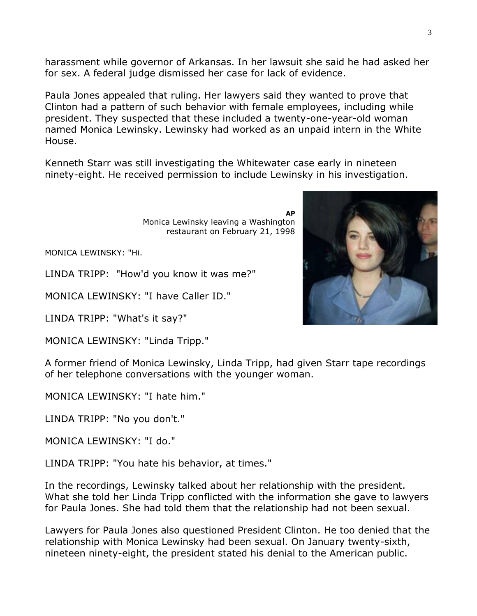harassment while governor of Arkansas. In her lawsuit she said he had asked her for sex. A federal judge dismissed her case for lack of evidence.

Paula Jones appealed that ruling. Her lawyers said they wanted to prove that Clinton had a pattern of such behavior with female employees, including while president. They suspected that these included a twenty-one-year-old woman named Monica Lewinsky. Lewinsky had worked as an unpaid intern in the White House.

Kenneth Starr was still investigating the Whitewater case early in nineteen ninety-eight. He received permission to include Lewinsky in his investigation.

> **AP** Monica Lewinsky leaving a Washington restaurant on February 21, 1998

MONICA LEWINSKY: "Hi.

LINDA TRIPP: "How'd you know it was me?"

MONICA LEWINSKY: "I have Caller ID."

LINDA TRIPP: "What's it say?"

MONICA LEWINSKY: "Linda Tripp."

A former friend of Monica Lewinsky, Linda Tripp, had given Starr tape recordings of her telephone conversations with the younger woman.

MONICA LEWINSKY: "I hate him."

LINDA TRIPP: "No you don't."

MONICA LEWINSKY: "I do."

LINDA TRIPP: "You hate his behavior, at times."

In the recordings, Lewinsky talked about her relationship with the president. What she told her Linda Tripp conflicted with the information she gave to lawyers for Paula Jones. She had told them that the relationship had not been sexual.

Lawyers for Paula Jones also questioned President Clinton. He too denied that the relationship with Monica Lewinsky had been sexual. On January twenty-sixth, nineteen ninety-eight, the president stated his denial to the American public.

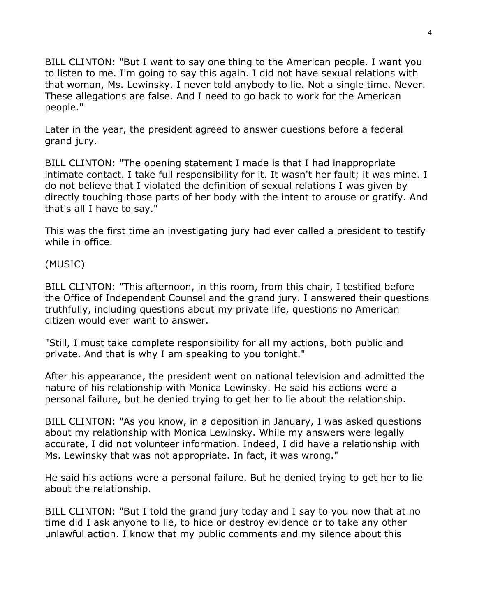BILL CLINTON: "But I want to say one thing to the American people. I want you to listen to me. I'm going to say this again. I did not have sexual relations with that woman, Ms. Lewinsky. I never told anybody to lie. Not a single time. Never. These allegations are false. And I need to go back to work for the American people."

Later in the year, the president agreed to answer questions before a federal grand jury.

BILL CLINTON: "The opening statement I made is that I had inappropriate intimate contact. I take full responsibility for it. It wasn't her fault; it was mine. I do not believe that I violated the definition of sexual relations I was given by directly touching those parts of her body with the intent to arouse or gratify. And that's all I have to say."

This was the first time an investigating jury had ever called a president to testify while in office.

(MUSIC)

BILL CLINTON: "This afternoon, in this room, from this chair, I testified before the Office of Independent Counsel and the grand jury. I answered their questions truthfully, including questions about my private life, questions no American citizen would ever want to answer.

"Still, I must take complete responsibility for all my actions, both public and private. And that is why I am speaking to you tonight."

After his appearance, the president went on national television and admitted the nature of his relationship with Monica Lewinsky. He said his actions were a personal failure, but he denied trying to get her to lie about the relationship.

BILL CLINTON: "As you know, in a deposition in January, I was asked questions about my relationship with Monica Lewinsky. While my answers were legally accurate, I did not volunteer information. Indeed, I did have a relationship with Ms. Lewinsky that was not appropriate. In fact, it was wrong."

He said his actions were a personal failure. But he denied trying to get her to lie about the relationship.

BILL CLINTON: "But I told the grand jury today and I say to you now that at no time did I ask anyone to lie, to hide or destroy evidence or to take any other unlawful action. I know that my public comments and my silence about this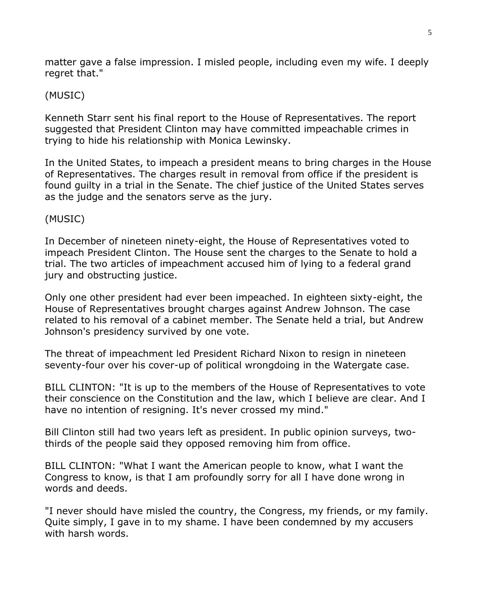matter gave a false impression. I misled people, including even my wife. I deeply regret that."

## (MUSIC)

Kenneth Starr sent his final report to the House of Representatives. The report suggested that President Clinton may have committed impeachable crimes in trying to hide his relationship with Monica Lewinsky.

In the United States, to impeach a president means to bring charges in the House of Representatives. The charges result in removal from office if the president is found guilty in a trial in the Senate. The chief justice of the United States serves as the judge and the senators serve as the jury.

## (MUSIC)

In December of nineteen ninety-eight, the House of Representatives voted to impeach President Clinton. The House sent the charges to the Senate to hold a trial. The two articles of impeachment accused him of lying to a federal grand jury and obstructing justice.

Only one other president had ever been impeached. In eighteen sixty-eight, the House of Representatives brought charges against Andrew Johnson. The case related to his removal of a cabinet member. The Senate held a trial, but Andrew Johnson's presidency survived by one vote.

The threat of impeachment led President Richard Nixon to resign in nineteen seventy-four over his cover-up of political wrongdoing in the Watergate case.

BILL CLINTON: "It is up to the members of the House of Representatives to vote their conscience on the Constitution and the law, which I believe are clear. And I have no intention of resigning. It's never crossed my mind."

Bill Clinton still had two years left as president. In public opinion surveys, twothirds of the people said they opposed removing him from office.

BILL CLINTON: "What I want the American people to know, what I want the Congress to know, is that I am profoundly sorry for all I have done wrong in words and deeds.

"I never should have misled the country, the Congress, my friends, or my family. Quite simply, I gave in to my shame. I have been condemned by my accusers with harsh words.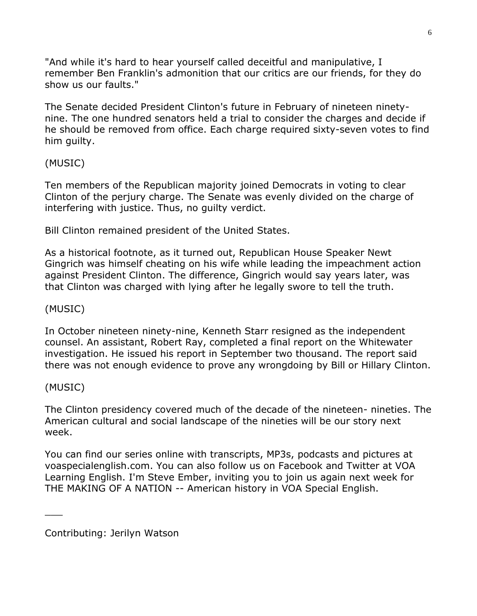"And while it's hard to hear yourself called deceitful and manipulative, I remember Ben Franklin's admonition that our critics are our friends, for they do show us our faults."

The Senate decided President Clinton's future in February of nineteen ninetynine. The one hundred senators held a trial to consider the charges and decide if he should be removed from office. Each charge required sixty-seven votes to find him guilty.

## (MUSIC)

Ten members of the Republican majority joined Democrats in voting to clear Clinton of the perjury charge. The Senate was evenly divided on the charge of interfering with justice. Thus, no guilty verdict.

Bill Clinton remained president of the United States.

As a historical footnote, as it turned out, Republican House Speaker Newt Gingrich was himself cheating on his wife while leading the impeachment action against President Clinton. The difference, Gingrich would say years later, was that Clinton was charged with lying after he legally swore to tell the truth.

## (MUSIC)

In October nineteen ninety-nine, Kenneth Starr resigned as the independent counsel. An assistant, Robert Ray, completed a final report on the Whitewater investigation. He issued his report in September two thousand. The report said there was not enough evidence to prove any wrongdoing by Bill or Hillary Clinton.

## (MUSIC)

 $\overline{\phantom{a}}$ 

The Clinton presidency covered much of the decade of the nineteen- nineties. The American cultural and social landscape of the nineties will be our story next week.

You can find our series online with transcripts, MP3s, podcasts and pictures at voaspecialenglish.com. You can also follow us on Facebook and Twitter at VOA Learning English. I'm Steve Ember, inviting you to join us again next week for THE MAKING OF A NATION -- American history in VOA Special English.

Contributing: Jerilyn Watson